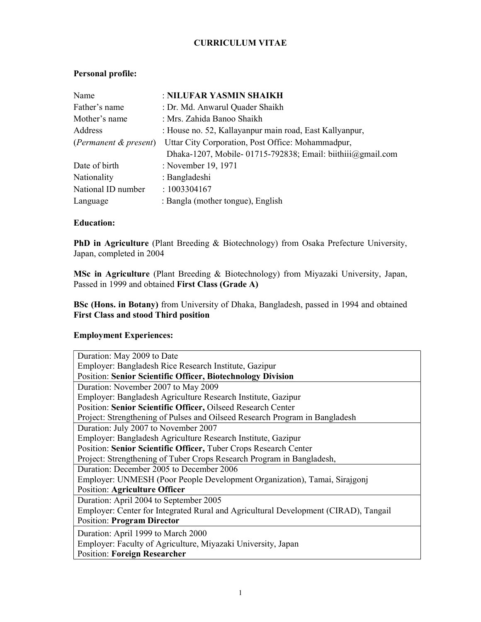## CURRICULUM VITAE

## Personal profile:

| Name                  | : NILUFAR YASMIN SHAIKH                                         |  |  |  |
|-----------------------|-----------------------------------------------------------------|--|--|--|
| Father's name         | : Dr. Md. Anwarul Quader Shaikh                                 |  |  |  |
| Mother's name         | : Mrs. Zahida Banoo Shaikh                                      |  |  |  |
| Address               | : House no. 52, Kallayanpur main road, East Kallyanpur,         |  |  |  |
| (Permanent & present) | Uttar City Corporation, Post Office: Mohammadpur,               |  |  |  |
|                       | Dhaka-1207, Mobile-01715-792838; Email: biithiii $@g$ gmail.com |  |  |  |
| Date of birth         | : November 19, 1971                                             |  |  |  |
| Nationality           | : Bangladeshi                                                   |  |  |  |
| National ID number    | : 1003304167                                                    |  |  |  |
| Language              | : Bangla (mother tongue), English                               |  |  |  |

### Education:

PhD in Agriculture (Plant Breeding & Biotechnology) from Osaka Prefecture University, Japan, completed in 2004

MSc in Agriculture (Plant Breeding & Biotechnology) from Miyazaki University, Japan, Passed in 1999 and obtained First Class (Grade A)

BSc (Hons. in Botany) from University of Dhaka, Bangladesh, passed in 1994 and obtained First Class and stood Third position

### Employment Experiences:

| Duration: May 2009 to Date                                                          |
|-------------------------------------------------------------------------------------|
| Employer: Bangladesh Rice Research Institute, Gazipur                               |
| <b>Position: Senior Scientific Officer, Biotechnology Division</b>                  |
| Duration: November 2007 to May 2009                                                 |
| Employer: Bangladesh Agriculture Research Institute, Gazipur                        |
| Position: Senior Scientific Officer, Oilseed Research Center                        |
| Project: Strengthening of Pulses and Oilseed Research Program in Bangladesh         |
| Duration: July 2007 to November 2007                                                |
| Employer: Bangladesh Agriculture Research Institute, Gazipur                        |
| Position: Senior Scientific Officer, Tuber Crops Research Center                    |
| Project: Strengthening of Tuber Crops Research Program in Bangladesh,               |
| Duration: December 2005 to December 2006                                            |
| Employer: UNMESH (Poor People Development Organization), Tamai, Sirajgonj           |
| <b>Position: Agriculture Officer</b>                                                |
| Duration: April 2004 to September 2005                                              |
| Employer: Center for Integrated Rural and Agricultural Development (CIRAD), Tangail |
| <b>Position: Program Director</b>                                                   |
| Duration: April 1999 to March 2000                                                  |
| Employer: Faculty of Agriculture, Miyazaki University, Japan                        |
| <b>Position: Foreign Researcher</b>                                                 |
|                                                                                     |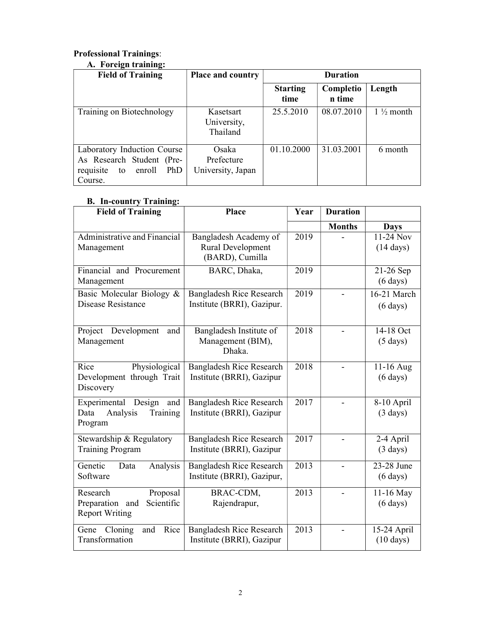## Professional Trainings:

| A. Foreign training:                                                                                    |                                          |                         |                     |                      |
|---------------------------------------------------------------------------------------------------------|------------------------------------------|-------------------------|---------------------|----------------------|
| <b>Field of Training</b>                                                                                | <b>Place and country</b>                 | <b>Duration</b>         |                     |                      |
|                                                                                                         |                                          | <b>Starting</b><br>time | Completio<br>n time | Length               |
| Training on Biotechnology                                                                               | Kasetsart<br>University,<br>Thailand     | 25.5.2010               | 08.07.2010          | $1\frac{1}{2}$ month |
| Laboratory Induction Course<br>As Research Student (Pre-<br>PhD<br>requisite<br>enroll<br>to<br>Course. | Osaka<br>Prefecture<br>University, Japan | 01.10.2000              | 31.03.2001          | 6 month              |

# B. In-country Training:

| <b>Field of Training</b>                                                          | Place                                                                | Year | <b>Duration</b> |                                    |
|-----------------------------------------------------------------------------------|----------------------------------------------------------------------|------|-----------------|------------------------------------|
|                                                                                   |                                                                      |      | <b>Months</b>   | <b>Days</b>                        |
| Administrative and Financial<br>Management                                        | Bangladesh Academy of<br><b>Rural Development</b><br>(BARD), Cumilla | 2019 |                 | 11-24 Nov<br>$(14 \text{ days})$   |
| Financial and Procurement<br>Management                                           | BARC, Dhaka,                                                         | 2019 |                 | $21-26$ Sep<br>$(6 \text{ days})$  |
| Basic Molecular Biology &<br>Disease Resistance                                   | <b>Bangladesh Rice Research</b><br>Institute (BRRI), Gazipur.        | 2019 |                 | 16-21 March<br>$(6 \text{ days})$  |
| Project Development<br>and<br>Management                                          | Bangladesh Institute of<br>Management (BIM),<br>Dhaka.               | 2018 |                 | 14-18 Oct<br>$(5 \text{ days})$    |
| Rice<br>Physiological<br>Development through Trait<br>Discovery                   | <b>Bangladesh Rice Research</b><br>Institute (BRRI), Gazipur         | 2018 |                 | 11-16 Aug<br>$(6 \text{ days})$    |
| Experimental<br>Design<br>and<br>Data<br>Analysis<br>Training<br>Program          | <b>Bangladesh Rice Research</b><br>Institute (BRRI), Gazipur         | 2017 |                 | 8-10 April<br>$(3 \text{ days})$   |
| Stewardship & Regulatory<br><b>Training Program</b>                               | <b>Bangladesh Rice Research</b><br>Institute (BRRI), Gazipur         | 2017 |                 | $2-4$ April<br>$(3 \text{ days})$  |
| Genetic<br>Data<br>Analysis<br>Software                                           | <b>Bangladesh Rice Research</b><br>Institute (BRRI), Gazipur,        | 2013 |                 | 23-28 June<br>$(6 \text{ days})$   |
| Proposal<br>Research<br>Scientific<br>Preparation<br>and<br><b>Report Writing</b> | BRAC-CDM,<br>Rajendrapur,                                            | 2013 |                 | 11-16 May<br>$(6 \text{ days})$    |
| Rice<br>Cloning<br>Gene<br>and<br>Transformation                                  | <b>Bangladesh Rice Research</b><br>Institute (BRRI), Gazipur         | 2013 |                 | 15-24 April<br>$(10 \text{ days})$ |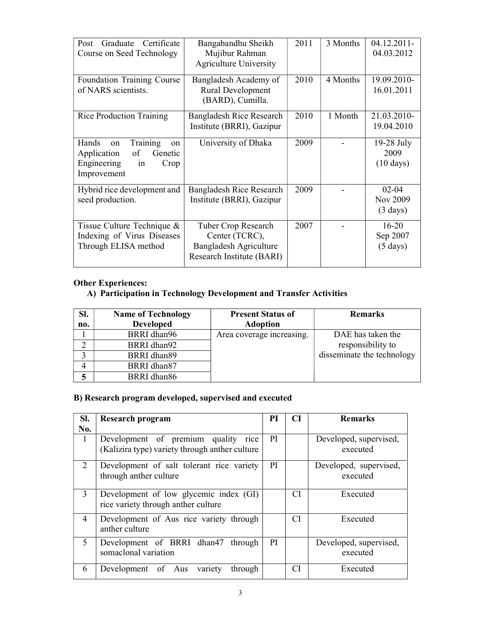| Graduate Certificate<br>Post<br>Course on Seed Technology                                                 | Bangabandhu Sheikh<br>Mujibur Rahman<br><b>Agriculture University</b>                        | 2011 | 3 Months | 04.12.2011<br>04.03.2012                    |
|-----------------------------------------------------------------------------------------------------------|----------------------------------------------------------------------------------------------|------|----------|---------------------------------------------|
| Foundation Training Course<br>of NARS scientists.                                                         | Bangladesh Academy of<br><b>Rural Development</b><br>(BARD), Cumilla.                        | 2010 | 4 Months | 19.09.2010-<br>16.01.2011                   |
| <b>Rice Production Training</b>                                                                           | Bangladesh Rice Research<br>Institute (BRRI), Gazipur                                        | 2010 | 1 Month  | 21.03.2010-<br>19.04.2010                   |
| Training<br>Hands<br>on<br>on<br>of<br>Application<br>Genetic<br>Engineering<br>Crop<br>in<br>Improvement | University of Dhaka                                                                          | 2009 |          | 19-28 July<br>2009<br>$(10 \text{ days})$   |
| Hybrid rice development and<br>seed production.                                                           | Bangladesh Rice Research<br>Institute (BRRI), Gazipur                                        | 2009 |          | $02 - 04$<br>Nov 2009<br>$(3 \text{ days})$ |
| Tissue Culture Technique &<br>Indexing of Virus Diseases<br>Through ELISA method                          | Tuber Crop Research<br>Center (TCRC),<br>Bangladesh Agriculture<br>Research Institute (BARI) | 2007 |          | $16 - 20$<br>Sep 2007<br>$(5 \text{ days})$ |

## Other Experiences:

## A) Participation in Technology Development and Transfer Activities

| SI. | <b>Name of Technology</b> | <b>Present Status of</b>  | <b>Remarks</b>             |
|-----|---------------------------|---------------------------|----------------------------|
| no. | <b>Developed</b>          | <b>Adoption</b>           |                            |
|     | BRRI dhan96               | Area coverage increasing. | DAE has taken the          |
| ◠   | BRRI dhan92               |                           | responsibility to          |
|     | BRRI dhan89               |                           | disseminate the technology |
|     | BRRI dhan87               |                           |                            |
|     | BRRI dhan86               |                           |                            |

## B) Research program developed, supervised and executed

| SI.           | <b>Research program</b>                                                                  | РI | <b>CI</b> | <b>Remarks</b>                     |
|---------------|------------------------------------------------------------------------------------------|----|-----------|------------------------------------|
| No.           |                                                                                          |    |           |                                    |
| $\mathbf{1}$  | Development of premium quality<br>rice<br>(Kalizira type) variety through anther culture | PI |           | Developed, supervised,<br>executed |
| 2             | Development of salt tolerant rice variety<br>through anther culture                      |    |           | Developed, supervised,<br>executed |
| $\mathcal{E}$ | Development of low glycemic index (GI)<br>rice variety through anther culture            |    | CI.       | Executed                           |
| 4             | Development of Aus rice variety through<br>anther culture                                |    | CI.       | Executed                           |
| 5             | Development of BRRI dhan47<br>through<br>somaclonal variation                            | PI |           | Developed, supervised,<br>executed |
| 6             | variety<br>Development of Aus<br>through                                                 |    | CI        | Executed                           |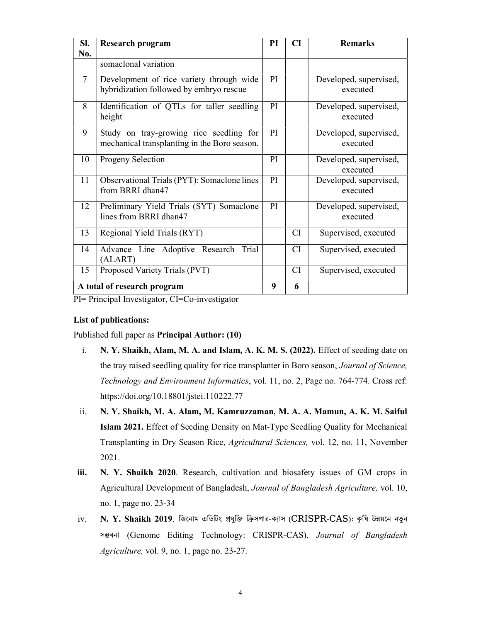| SI.<br>No. | <b>Research program</b>                                                                 | PI            | CI        | <b>Remarks</b>                     |
|------------|-----------------------------------------------------------------------------------------|---------------|-----------|------------------------------------|
|            | somaclonal variation                                                                    |               |           |                                    |
| $\tau$     | Development of rice variety through wide<br>hybridization followed by embryo rescue     | <b>PI</b>     |           | Developed, supervised,<br>executed |
| 8          | Identification of QTLs for taller seedling<br>height                                    | <sub>PI</sub> |           | Developed, supervised,<br>executed |
| 9          | Study on tray-growing rice seedling for<br>mechanical transplanting in the Boro season. | <sub>PI</sub> |           | Developed, supervised,<br>executed |
| 10         | Progeny Selection                                                                       | PI.           |           | Developed, supervised,<br>executed |
| 11         | Observational Trials (PYT): Somaclone lines<br>from BRRI dhan47                         | <sub>PI</sub> |           | Developed, supervised,<br>executed |
| 12         | Preliminary Yield Trials (SYT) Somaclone<br>lines from BRRI dhan47                      | PI            |           | Developed, supervised,<br>executed |
| 13         | Regional Yield Trials (RYT)                                                             |               | <b>CI</b> | Supervised, executed               |
| 14         | Advance Line Adoptive Research Trial<br>(ALART)                                         |               | <b>CI</b> | Supervised, executed               |
| 15         | Proposed Variety Trials (PVT)                                                           |               | <b>CI</b> | Supervised, executed               |
|            | A total of research program                                                             | 9             | 6         |                                    |

PI= Principal Investigator, CI=Co-investigator

### List of publications:

Published full paper as Principal Author: (10)

- i. N. Y. Shaikh, Alam, M. A. and Islam, A. K. M. S. (2022). Effect of seeding date on the tray raised seedling quality for rice transplanter in Boro season, Journal of Science, Technology and Environment Informatics, vol. 11, no. 2, Page no. 764-774. Cross ref: https://doi.org/10.18801/jstei.110222.77
- ii. N. Y. Shaikh, M. A. Alam, M. Kamruzzaman, M. A. A. Mamun, A. K. M. Saiful Islam 2021. Effect of Seeding Density on Mat-Type Seedling Quality for Mechanical Transplanting in Dry Season Rice, Agricultural Sciences, vol. 12, no. 11, November 2021.
- iii. N. Y. Shaikh 2020. Research, cultivation and biosafety issues of GM crops in Agricultural Development of Bangladesh, Journal of Bangladesh Agriculture, vol. 10, no. 1, page no. 23-34
- iv. N. Y. Shaikh 2019. জিনোম এডিটিং প্রযুক্তি ক্রিসপার-ক্যাস (CRISPR-CAS): কৃষি উন্নয়নে নতুন সম্ভবনা (Genome Editing Technology: CRISPR-CAS), Journal of Bangladesh Agriculture, vol. 9, no. 1, page no. 23-27.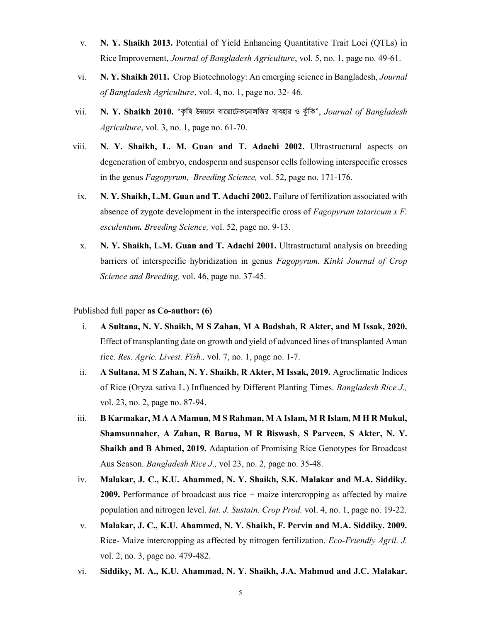- v. N. Y. Shaikh 2013. Potential of Yield Enhancing Quantitative Trait Loci (QTLs) in Rice Improvement, Journal of Bangladesh Agriculture, vol. 5, no. 1, page no. 49-61.
- vi. N. Y. Shaikh 2011. Crop Biotechnology: An emerging science in Bangladesh, Journal of Bangladesh Agriculture, vol. 4, no. 1, page no. 32- 46.
- vii. N. Y. Shaikh 2010. "কৃষি উন্নয়নে বায়োটেকনোলজির ব্যবহার ও ঝুঁকি", Journal of Bangladesh Agriculture, vol. 3, no. 1, page no. 61-70.
- viii. N. Y. Shaikh, L. M. Guan and T. Adachi 2002. Ultrastructural aspects on degeneration of embryo, endosperm and suspensor cells following interspecific crosses in the genus Fagopyrum, Breeding Science, vol. 52, page no. 171-176.
- ix. N. Y. Shaikh, L.M. Guan and T. Adachi 2002. Failure of fertilization associated with absence of zygote development in the interspecific cross of Fagopyrum tataricum x F. esculentum. Breeding Science, vol. 52, page no. 9-13.
- x. N. Y. Shaikh, L.M. Guan and T. Adachi 2001. Ultrastructural analysis on breeding barriers of interspecific hybridization in genus Fagopyrum. Kinki Journal of Crop Science and Breeding, vol. 46, page no. 37-45.

Published full paper as Co-author: (6)

- i. A Sultana, N. Y. Shaikh, M S Zahan, M A Badshah, R Akter, and M Issak, 2020. Effect of transplanting date on growth and yield of advanced lines of transplanted Aman rice. Res. Agric. Livest. Fish., vol. 7, no. 1, page no. 1-7.
- ii. A Sultana, M S Zahan, N. Y. Shaikh, R Akter, M Issak, 2019. Agroclimatic Indices of Rice (Oryza sativa L.) Influenced by Different Planting Times. Bangladesh Rice J., vol. 23, no. 2, page no. 87-94.
- iii. B Karmakar, M A A Mamun, M S Rahman, M A Islam, M R Islam, M H R Mukul, Shamsunnaher, A Zahan, R Barua, M R Biswash, S Parveen, S Akter, N. Y. Shaikh and B Ahmed, 2019. Adaptation of Promising Rice Genotypes for Broadcast Aus Season. Bangladesh Rice J., vol 23, no. 2, page no. 35-48.
- iv. Malakar, J. C., K.U. Ahammed, N. Y. Shaikh, S.K. Malakar and M.A. Siddiky. **2009.** Performance of broadcast aus rice  $+$  maize intercropping as affected by maize population and nitrogen level. Int. J. Sustain. Crop Prod. vol. 4, no. 1, page no. 19-22.
- v. Malakar, J. C., K.U. Ahammed, N. Y. Shaikh, F. Pervin and M.A. Siddiky. 2009. Rice- Maize intercropping as affected by nitrogen fertilization. Eco-Friendly Agril. J. vol. 2, no. 3, page no. 479-482.
- vi. Siddiky, M. A., K.U. Ahammad, N. Y. Shaikh, J.A. Mahmud and J.C. Malakar.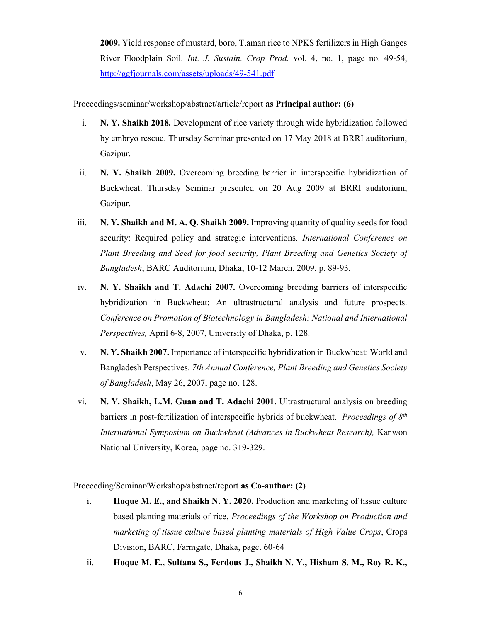2009. Yield response of mustard, boro, T.aman rice to NPKS fertilizers in High Ganges River Floodplain Soil. Int. J. Sustain. Crop Prod. vol. 4, no. 1, page no. 49-54, http://ggfjournals.com/assets/uploads/49-541.pdf

Proceedings/seminar/workshop/abstract/article/report as Principal author: (6)

- i. N. Y. Shaikh 2018. Development of rice variety through wide hybridization followed by embryo rescue. Thursday Seminar presented on 17 May 2018 at BRRI auditorium, Gazipur.
- ii. N. Y. Shaikh 2009. Overcoming breeding barrier in interspecific hybridization of Buckwheat. Thursday Seminar presented on 20 Aug 2009 at BRRI auditorium, Gazipur.
- iii.  $N, Y$ . Shaikh and M. A. O. Shaikh 2009. Improving quantity of quality seeds for food security: Required policy and strategic interventions. International Conference on Plant Breeding and Seed for food security, Plant Breeding and Genetics Society of Bangladesh, BARC Auditorium, Dhaka, 10-12 March, 2009, p. 89-93.
- iv. N. Y. Shaikh and T. Adachi 2007. Overcoming breeding barriers of interspecific hybridization in Buckwheat: An ultrastructural analysis and future prospects. Conference on Promotion of Biotechnology in Bangladesh: National and International Perspectives, April 6-8, 2007, University of Dhaka, p. 128.
- v. N. Y. Shaikh 2007. Importance of interspecific hybridization in Buckwheat: World and Bangladesh Perspectives. 7th Annual Conference, Plant Breeding and Genetics Society of Bangladesh, May 26, 2007, page no. 128.
- vi. N. Y. Shaikh, L.M. Guan and T. Adachi 2001. Ultrastructural analysis on breeding barriers in post-fertilization of interspecific hybrids of buckwheat. *Proceedings of*  $8<sup>th</sup>$ International Symposium on Buckwheat (Advances in Buckwheat Research), Kanwon National University, Korea, page no. 319-329.

Proceeding/Seminar/Workshop/abstract/report as Co-author: (2)

- i. Hoque M. E., and Shaikh N. Y. 2020. Production and marketing of tissue culture based planting materials of rice, Proceedings of the Workshop on Production and marketing of tissue culture based planting materials of High Value Crops, Crops Division, BARC, Farmgate, Dhaka, page. 60-64
- ii. Hoque M. E., Sultana S., Ferdous J., Shaikh N. Y., Hisham S. M., Roy R. K.,